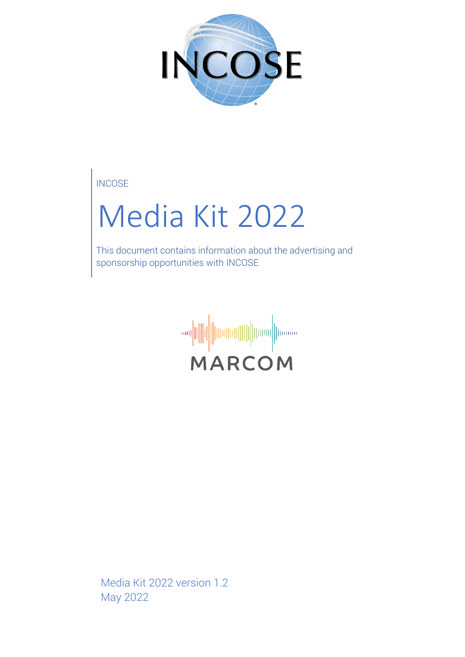

**INCOSE** 

# Media Kit 2022

This document contains information about the advertising and sponsorship opportunities with INCOSE



Media Kit 2022 version 1.2 May 2022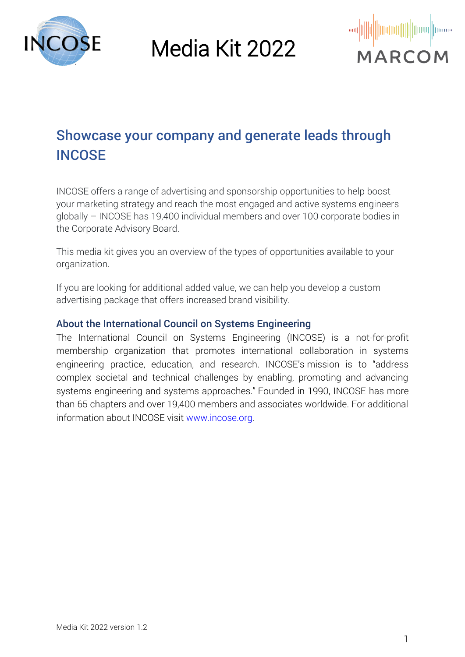



## Showcase your company and generate leads through **INCOSE**

INCOSE offers a range of advertising and sponsorship opportunities to help boost your marketing strategy and reach the most engaged and active systems engineers globally – INCOSE has 19,400 individual members and over 100 corporate bodies in the Corporate Advisory Board.

This media kit gives you an overview of the types of opportunities available to your organization.

If you are looking for additional added value, we can help you develop a custom advertising package that offers increased brand visibility.

#### About the International Council on Systems Engineering

The International Council on Systems Engineering (INCOSE) is a not-for-profit membership organization that promotes international collaboration in systems engineering practice, education, and research. INCOSE's mission is to "address complex societal and technical challenges by enabling, promoting and advancing systems engineering and systems approaches." Founded in 1990, INCOSE has more than 65 chapters and over 19,400 members and associates worldwide. For additional information about INCOSE visit [www.incose.org.](http://www.incose.org/)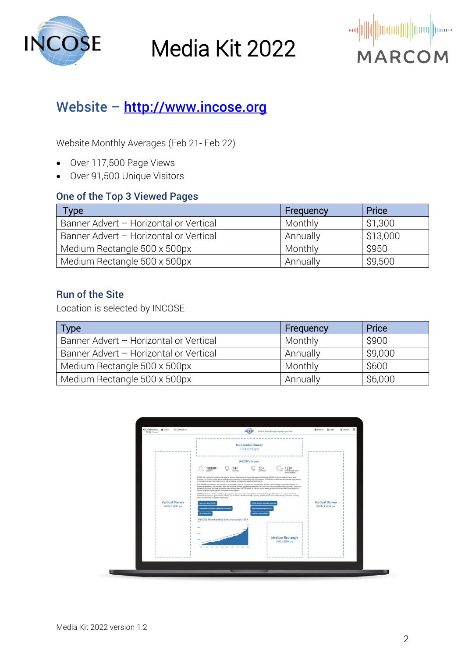



#### Website - [http://www.incose.org](http://www.incose.org/)

Website Monthly Averages (Feb 21- Feb 22)

- Over 117,500 Page Views
- Over 91,500 Unique Visitors

#### One of the Top 3 Viewed Pages

| <b>Type</b>                            | Frequency | Price    |
|----------------------------------------|-----------|----------|
| Banner Advert - Horizontal or Vertical | Monthly   | \$1,300  |
| Banner Advert - Horizontal or Vertical | Annually  | \$13,000 |
| Medium Rectangle 500 x 500px           | Monthly   | \$950    |
| Medium Rectangle 500 x 500px           | Annually  | \$9,500  |

#### Run of the Site

Location is selected by INCOSE

| <b>Type</b>                            | Frequency | Price   |
|----------------------------------------|-----------|---------|
| Banner Advert - Horizontal or Vertical | Monthly   | \$900   |
| Banner Advert - Horizontal or Vertical | Annually  | \$9,000 |
| Medium Rectangle 500 x 500px           | Monthly   | \$600   |
| Medium Rectangle 500 x 500px           | Annually  | \$6,000 |

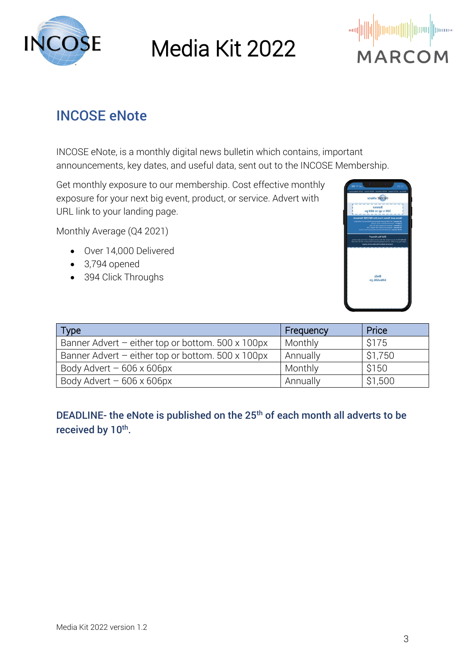



#### INCOSE eNote

INCOSE eNote, is a monthly digital news bulletin which contains, important announcements, key dates, and useful data, sent out to the INCOSE Membership.

Get monthly exposure to our membership. Cost effective monthly exposure for your next big event, product, or service. Advert with URL link to your landing page.

Monthly Average (Q4 2021)

- Over 14,000 Delivered
- 3,794 opened
- 394 Click Throughs



| <b>Type</b>                                               | Frequency | Price   |
|-----------------------------------------------------------|-----------|---------|
| Banner Advert - either top or bottom. 500 x 100px         | Monthly   | \$175   |
| Banner Advert - either top or bottom. $500 \times 100$ px | Annually  | \$1,750 |
| Body Advert $-606 \times 606$ px                          | Monthly   | \$150   |
| Body Advert $-606 \times 606$ px                          | Annually  | \$1,500 |

DEADLINE- the eNote is published on the  $25<sup>th</sup>$  of each month all adverts to be received by 10<sup>th</sup>.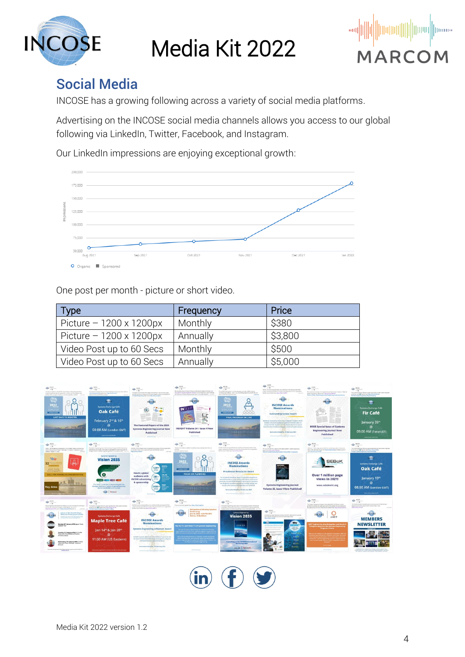



#### Social Media

INCOSE has a growing following across a variety of social media platforms.

Advertising on the INCOSE social media channels allows you access to our global following via LinkedIn, Twitter, Facebook, and Instagram.

Our LinkedIn impressions are enjoying exceptional growth:



One post per month - picture or short video.

| <b>Type</b>                    | Frequency | Price   |
|--------------------------------|-----------|---------|
| Picture $-1200 \times 1200$ px | Monthly   | \$380   |
| Picture $-1200 \times 1200$ px | Annually  | \$3,800 |
| Video Post up to 60 Secs       | Monthly   | \$500   |
| Video Post up to 60 Secs       | Annually  | \$5,000 |



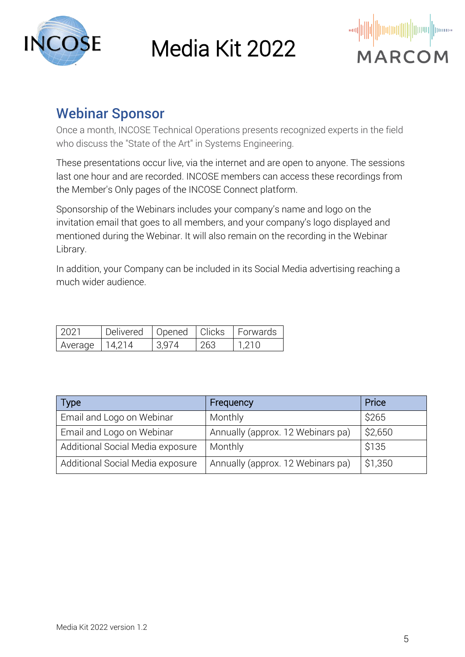



#### Webinar Sponsor

Once a month, INCOSE Technical Operations presents recognized experts in the field who discuss the "State of the Art" in Systems Engineering.

These presentations occur live, via the internet and are open to anyone. The sessions last one hour and are recorded. INCOSE members can access these recordings from the Member's Only pages of the INCOSE Connect platform.

Sponsorship of the Webinars includes your company's name and logo on the invitation email that goes to all members, and your company's logo displayed and mentioned during the Webinar. It will also remain on the recording in the Webinar Library.

In addition, your Company can be included in its Social Media advertising reaching a much wider audience.

| רלחל ו  | Delivered | Opened | I Clicks | I Forwards |
|---------|-----------|--------|----------|------------|
| Average | 14 2 1 4  |        | つんろ      |            |

| Type                             | Frequency                         | Price   |
|----------------------------------|-----------------------------------|---------|
| Email and Logo on Webinar        | Monthly                           | \$265   |
| Email and Logo on Webinar        | Annually (approx. 12 Webinars pa) | \$2,650 |
| Additional Social Media exposure | Monthly                           | \$135   |
| Additional Social Media exposure | Annually (approx. 12 Webinars pa) | \$1,350 |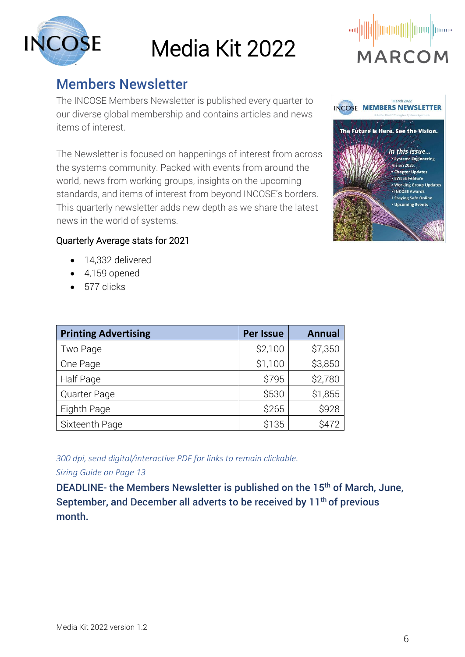

#### Members Newsletter

The INCOSE Members Newsletter is published every quarter to our diverse global membership and contains articles and news items of interest.

The Newsletter is focused on happenings of interest from across the systems community. Packed with events from around the world, news from working groups, insights on the upcoming standards, and items of interest from beyond INCOSE's borders. This quarterly newsletter adds new depth as we share the latest news in the world of systems*.*





#### Quarterly Average stats for 2021

- 14,332 delivered
- 4,159 opened
- 577 clicks

| <b>Printing Advertising</b> | <b>Per Issue</b> | <b>Annual</b> |
|-----------------------------|------------------|---------------|
| Two Page                    | \$2,100          | \$7,350       |
| One Page                    | \$1,100          | \$3,850       |
| Half Page                   | \$795            | \$2,780       |
| Quarter Page                | \$530            | \$1,855       |
| Eighth Page                 | \$265            | \$928         |
| Sixteenth Page              | \$135            | \$472         |

*300 dpi, send digital/interactive PDF for links to remain clickable.*

*Sizing Guide on Page 13* 

DEADLINE- the Members Newsletter is published on the 15<sup>th</sup> of March, June, September, and December all adverts to be received by 11<sup>th</sup> of previous month.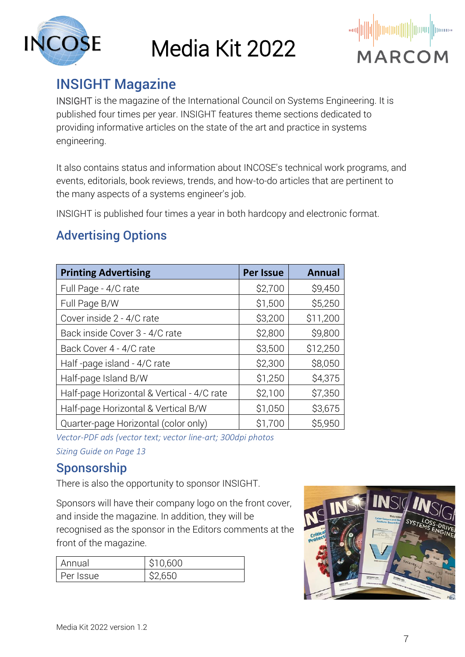



#### INSIGHT Magazine

INSIGHT is the magazine of the International Council on Systems Engineering. It is published four times per year. INSIGHT features theme sections dedicated to providing informative articles on the state of the art and practice in systems engineering.

It also contains status and information about INCOSE's technical work programs, and events, editorials, book reviews, trends, and how-to-do articles that are pertinent to the many aspects of a systems engineer's job.

INSIGHT is published four times a year in both hardcopy and electronic format.

#### Advertising Options

| <b>Printing Advertising</b>                | <b>Per Issue</b> | <b>Annual</b> |
|--------------------------------------------|------------------|---------------|
| Full Page - 4/C rate                       | \$2,700          | \$9,450       |
| Full Page B/W                              | \$1,500          | \$5,250       |
| Cover inside 2 - 4/C rate                  | \$3,200          | \$11,200      |
| Back inside Cover 3 - 4/C rate             | \$2,800          | \$9,800       |
| Back Cover 4 - 4/C rate                    | \$3,500          | \$12,250      |
| Half-page island - 4/C rate                | \$2,300          | \$8,050       |
| Half-page Island B/W                       | \$1,250          | \$4,375       |
| Half-page Horizontal & Vertical - 4/C rate | \$2,100          | \$7,350       |
| Half-page Horizontal & Vertical B/W        | \$1,050          | \$3,675       |
| Quarter-page Horizontal (color only)       | \$1,700          | \$5,950       |

*Vector-PDF ads (vector text; vector line-art; 300dpi photos Sizing Guide on Page 13*

#### Sponsorship

There is also the opportunity to sponsor INSIGHT.

Sponsors will have their company logo on the front cover, and inside the magazine. In addition, they will be recognised as the sponsor in the Editors comments at the front of the magazine.

| Annual    | \$10,600 |
|-----------|----------|
| Per Issue | S2 REU   |

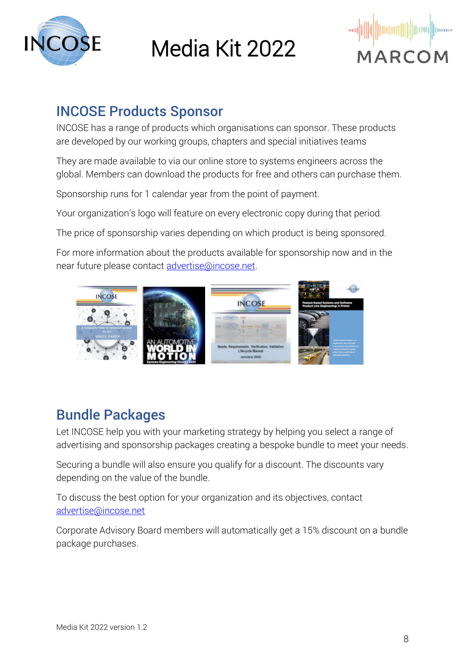



#### INCOSE Products Sponsor

INCOSE has a range of products which organisations can sponsor. These products are developed by our working groups, chapters and special initiatives teams

They are made available to via our online store to systems engineers across the global. Members can download the products for free and others can purchase them.

Sponsorship runs for 1 calendar year from the point of payment.

Your organization's logo will feature on every electronic copy during that period.

The price of sponsorship varies depending on which product is being sponsored.

For more information about the products available for sponsorship now and in the near future please contact [advertise@incose.net.](mailto:advertise@incose.net)



## Bundle Packages

Let INCOSE help you with your marketing strategy by helping you select a range of advertising and sponsorship packages creating a bespoke bundle to meet your needs.

Securing a bundle will also ensure you qualify for a discount. The discounts vary depending on the value of the bundle.

To discuss the best option for your organization and its objectives, contact [advertise@incose.net](mailto:advertise@incose.net)

Corporate Advisory Board members will automatically get a 15% discount on a bundle package purchases.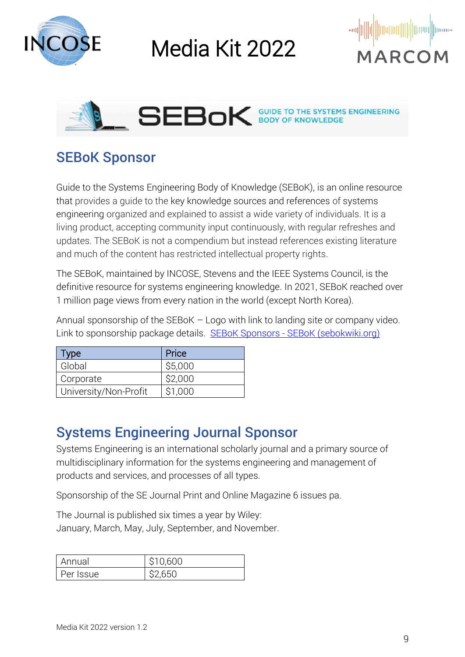





#### SEBoK Sponsor

Guide to the Systems Engineering Body of Knowledge (SEBoK), is an online resource that provides a guide to the key knowledge sources and references of systems engineering organized and explained to assist a wide variety of individuals. It is a living product, accepting community input continuously, with regular refreshes and updates. The SEBoK is not a compendium but instead references existing literature and much of the content has restricted intellectual property rights.

The SEBoK, maintained by INCOSE, Stevens and the IEEE Systems Council, is the definitive resource for systems engineering knowledge. In 2021, SEBoK reached over 1 million page views from every nation in the world (except North Korea).

Annual sponsorship of the SEBoK – Logo with link to landing site or company video. Link to sponsorship package details. SEBoK Sponsors - [SEBoK \(sebokwiki.org\)](https://www.sebokwiki.org/wiki/SEBoK_Sponsors)

| Type                  | Price   |
|-----------------------|---------|
| Global                | \$5,000 |
| Corporate             | \$2,000 |
| University/Non-Profit | S1 000  |

#### Systems Engineering Journal Sponsor

Systems Engineering is an international scholarly journal and a primary source of multidisciplinary information for the systems engineering and management of products and services, and processes of all types.

Sponsorship of the SE Journal Print and Online Magazine 6 issues pa.

The Journal is published six times a year by Wiley: January, March, May, July, September, and November.

| Annual    | \$10,600 |
|-----------|----------|
| Per Issue | \$2,650  |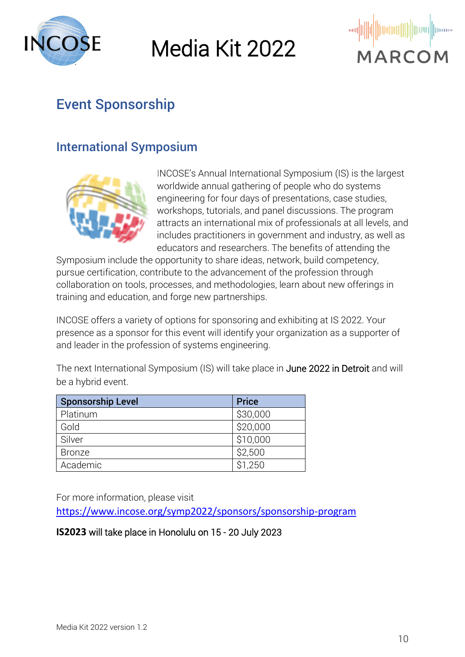



## Event Sponsorship

#### International Symposium



INCOSE's Annual International Symposium (IS) is the largest worldwide annual gathering of people who do systems engineering for four days of presentations, case studies, workshops, tutorials, and panel discussions. The program attracts an international mix of professionals at all levels, and includes practitioners in government and industry, as well as educators and researchers. The benefits of attending the

Symposium include the opportunity to share ideas, network, build competency, pursue certification, contribute to the advancement of the profession through collaboration on tools, processes, and methodologies, learn about new offerings in training and education, and forge new partnerships.

INCOSE offers a variety of options for sponsoring and exhibiting at IS 2022. Your presence as a sponsor for this event will identify your organization as a supporter of and leader in the profession of systems engineering.

The next International Symposium (IS) will take place in June 2022 in Detroit and will be a hybrid event.

| <b>Sponsorship Level</b> | <b>Price</b> |
|--------------------------|--------------|
| Platinum                 | \$30,000     |
| Gold                     | \$20,000     |
| Silver                   | \$10,000     |
| <b>Bronze</b>            | \$2,500      |
| Academic                 | \$1,250      |

For more information, please visit

<https://www.incose.org/symp2022/sponsors/sponsorship-program>

#### **IS2023** will take place in Honolulu on 15 - 20 July 2023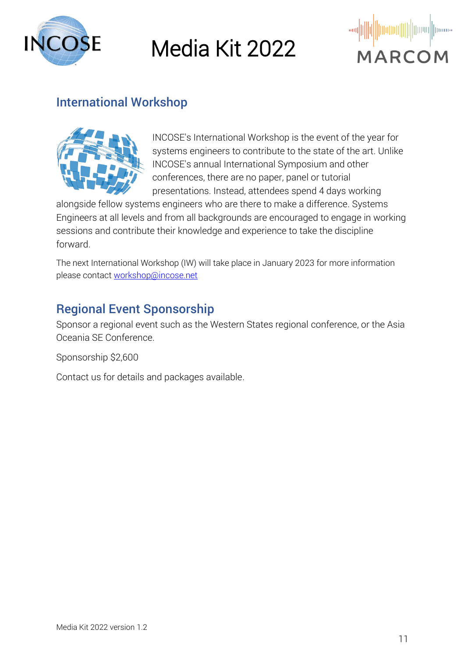

Media Kit 2022



#### International Workshop



INCOSE's International Workshop is the event of the year for systems engineers to contribute to the state of the art. Unlike INCOSE's annual International Symposium and other conferences, there are no paper, panel or tutorial presentations. Instead, attendees spend 4 days working

alongside fellow systems engineers who are there to make a difference. Systems Engineers at all levels and from all backgrounds are encouraged to engage in working sessions and contribute their knowledge and experience to take the discipline forward.

The next International Workshop (IW) will take place in January 2023 for more information please contact [workshop@incose.net](mailto:workshop@incose.net)

#### Regional Event Sponsorship

Sponsor a regional event such as the Western States regional conference, or the Asia Oceania SE Conference.

Sponsorship \$2,600

Contact us for details and packages available.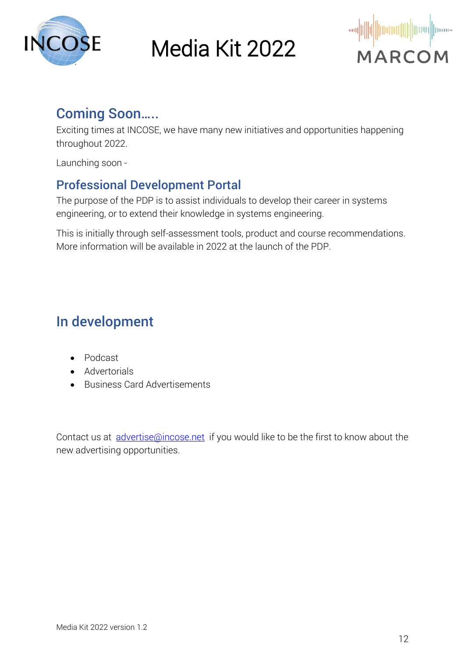



#### Coming Soon…..

Exciting times at INCOSE, we have many new initiatives and opportunities happening throughout 2022.

Launching soon -

#### Professional Development Portal

The purpose of the PDP is to assist individuals to develop their career in systems engineering, or to extend their knowledge in systems engineering.

This is initially through self-assessment tools, product and course recommendations. More information will be available in 2022 at the launch of the PDP.

## In development

- Podcast
- Advertorials
- Business Card Advertisements

Contact us at *[advertise@incose.net](mailto:advertise@incose.net)* if you would like to be the first to know about the new advertising opportunities.